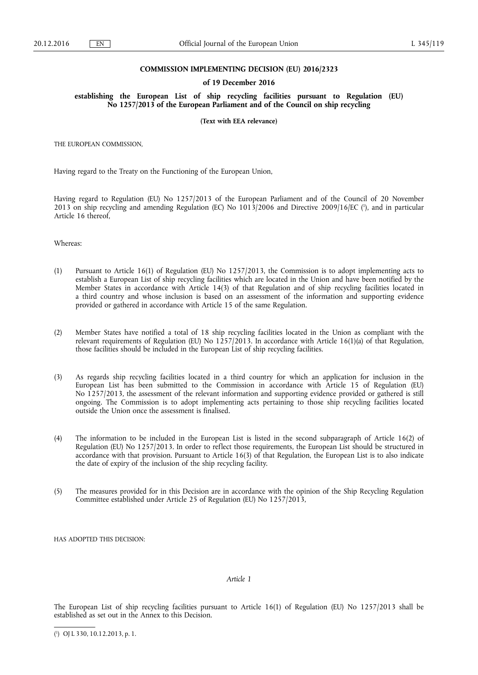### **COMMISSION IMPLEMENTING DECISION (EU) 2016/2323**

#### **of 19 December 2016**

**establishing the European List of ship recycling facilities pursuant to Regulation (EU) No 1257/2013 of the European Parliament and of the Council on ship recycling** 

**(Text with EEA relevance)** 

THE EUROPEAN COMMISSION,

Having regard to the Treaty on the Functioning of the European Union,

Having regard to Regulation (EU) No 1257/2013 of the European Parliament and of the Council of 20 November 2013 on ship recycling and amending Regulation (EC) No 1013/2006 and Directive 2009/16/EC (<sup>1</sup>), and in particular Article 16 thereof,

Whereas:

- (1) Pursuant to Article 16(1) of Regulation (EU) No 1257/2013, the Commission is to adopt implementing acts to establish a European List of ship recycling facilities which are located in the Union and have been notified by the Member States in accordance with Article 14(3) of that Regulation and of ship recycling facilities located in a third country and whose inclusion is based on an assessment of the information and supporting evidence provided or gathered in accordance with Article 15 of the same Regulation.
- (2) Member States have notified a total of 18 ship recycling facilities located in the Union as compliant with the relevant requirements of Regulation (EU) No  $1257/2013$ . In accordance with Article 16(1)(a) of that Regulation, those facilities should be included in the European List of ship recycling facilities.
- (3) As regards ship recycling facilities located in a third country for which an application for inclusion in the European List has been submitted to the Commission in accordance with Article 15 of Regulation (EU) No 1257/2013, the assessment of the relevant information and supporting evidence provided or gathered is still ongoing. The Commission is to adopt implementing acts pertaining to those ship recycling facilities located outside the Union once the assessment is finalised.
- (4) The information to be included in the European List is listed in the second subparagraph of Article 16(2) of Regulation (EU) No 1257/2013. In order to reflect those requirements, the European List should be structured in accordance with that provision. Pursuant to Article 16(3) of that Regulation, the European List is to also indicate the date of expiry of the inclusion of the ship recycling facility.
- (5) The measures provided for in this Decision are in accordance with the opinion of the Ship Recycling Regulation Committee established under Article 25 of Regulation (EU) No 1257/2013,

HAS ADOPTED THIS DECISION:

### *Article 1*

The European List of ship recycling facilities pursuant to Article 16(1) of Regulation (EU) No 1257/2013 shall be established as set out in the Annex to this Decision.

( 1 ) OJ L 330, 10.12.2013, p. 1.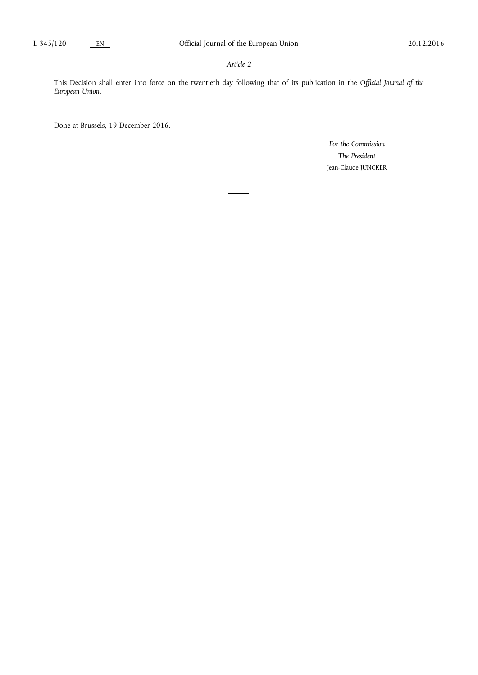## *Article 2*

This Decision shall enter into force on the twentieth day following that of its publication in the *Official Journal of the European Union*.

Done at Brussels, 19 December 2016.

*For the Commission The President*  Jean-Claude JUNCKER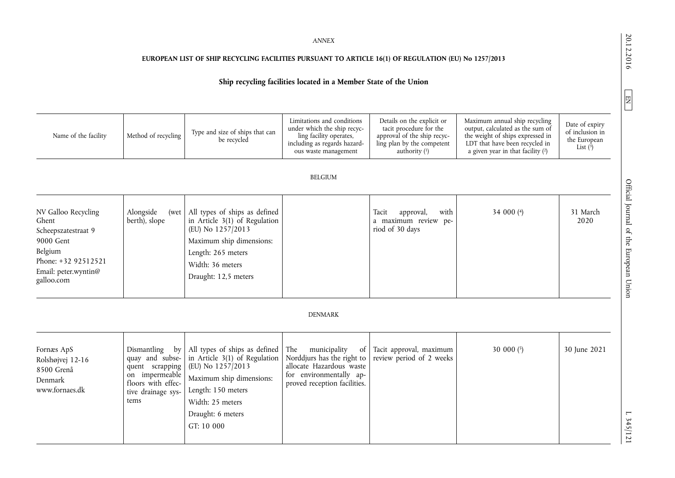20.12.2016

 $EM$ 

 $1.345/121$ 

*ANNEX* 

## **EUROPEAN LIST OF SHIP RECYCLING FACILITIES PURSUANT TO ARTICLE 16(1) OF REGULATION (EU) No 1257/2013**

# **Ship recycling facilities located in a Member State of the Union**

| Name of the facility                                                                                                                     | Method of recycling                                                                                                           | Type and size of ships that can<br>be recycled                                                                                                                                               | Limitations and conditions<br>under which the ship recyc-<br>ling facility operates,<br>including as regards hazard-<br>ous waste management   | Details on the explicit or<br>tacit procedure for the<br>approval of the ship recyc-<br>ling plan by the competent<br>authority $(1)$ | Maximum annual ship recycling<br>output, calculated as the sum of<br>the weight of ships expressed in<br>LDT that have been recycled in<br>a given year in that facility $(2)$ | Date of expiry<br>of inclusion in<br>the European<br>List $(3)$ |
|------------------------------------------------------------------------------------------------------------------------------------------|-------------------------------------------------------------------------------------------------------------------------------|----------------------------------------------------------------------------------------------------------------------------------------------------------------------------------------------|------------------------------------------------------------------------------------------------------------------------------------------------|---------------------------------------------------------------------------------------------------------------------------------------|--------------------------------------------------------------------------------------------------------------------------------------------------------------------------------|-----------------------------------------------------------------|
|                                                                                                                                          |                                                                                                                               |                                                                                                                                                                                              | <b>BELGIUM</b>                                                                                                                                 |                                                                                                                                       |                                                                                                                                                                                |                                                                 |
| NV Galloo Recycling<br>Ghent<br>Scheepszatestraat 9<br>9000 Gent<br>Belgium<br>Phone: +32 92512521<br>Email: peter.wyntin@<br>galloo.com | Alongside<br>(wet<br>berth), slope                                                                                            | All types of ships as defined<br>in Article $3(1)$ of Regulation<br>(EU) No 1257/2013<br>Maximum ship dimensions:<br>Length: 265 meters<br>Width: 36 meters<br>Draught: 12,5 meters          | <b>DENMARK</b>                                                                                                                                 | approval,<br>Tacit<br>with<br>a maximum review pe-<br>riod of 30 days                                                                 | 34 000 (4)                                                                                                                                                                     | 31 March<br>2020                                                |
|                                                                                                                                          |                                                                                                                               |                                                                                                                                                                                              |                                                                                                                                                |                                                                                                                                       |                                                                                                                                                                                |                                                                 |
| Fornæs ApS<br>Rolshøjvej 12-16<br>8500 Grenå<br>Denmark<br>www.fornaes.dk                                                                | Dismantling<br>by<br>quay and subse-<br>quent scrapping<br>on impermeable<br>floors with effec-<br>tive drainage sys-<br>tems | All types of ships as defined<br>in Article 3(1) of Regulation<br>(EU) No 1257/2013<br>Maximum ship dimensions:<br>Length: 150 meters<br>Width: 25 meters<br>Draught: 6 meters<br>GT: 10 000 | The<br>municipality<br>of<br>Norddjurs has the right to<br>allocate Hazardous waste<br>for environmentally ap-<br>proved reception facilities. | Tacit approval, maximum<br>review period of 2 weeks                                                                                   | 30 000 (5)                                                                                                                                                                     | 30 June 2021                                                    |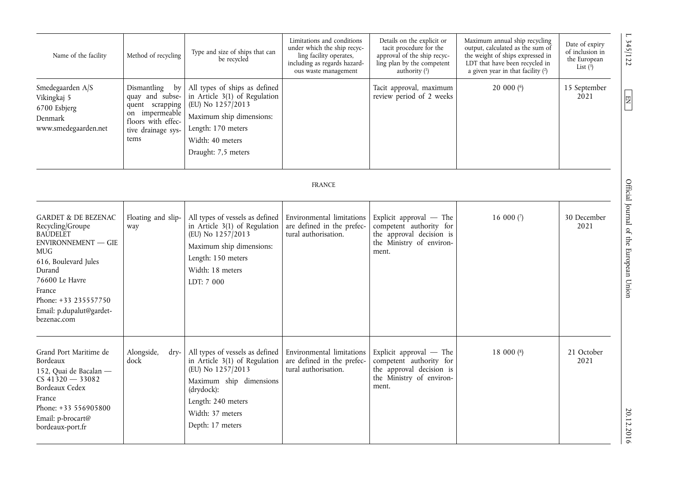| Name of the facility                                                                                                                                                                                                                        | Method of recycling                                                                                                           | Type and size of ships that can<br>be recycled                                                                                                                                               | Limitations and conditions<br>under which the ship recyc-<br>ling facility operates,<br>including as regards hazard-<br>ous waste management | Details on the explicit or<br>tacit procedure for the<br>approval of the ship recyc-<br>ling plan by the competent<br>authority $(1)$ | Maximum annual ship recycling<br>output, calculated as the sum of<br>the weight of ships expressed in<br>LDT that have been recycled in<br>a given year in that facility $(2)$ | Date of expiry<br>of inclusion in<br>the European<br>List $(3)$ |
|---------------------------------------------------------------------------------------------------------------------------------------------------------------------------------------------------------------------------------------------|-------------------------------------------------------------------------------------------------------------------------------|----------------------------------------------------------------------------------------------------------------------------------------------------------------------------------------------|----------------------------------------------------------------------------------------------------------------------------------------------|---------------------------------------------------------------------------------------------------------------------------------------|--------------------------------------------------------------------------------------------------------------------------------------------------------------------------------|-----------------------------------------------------------------|
| Smedegaarden A/S<br>Vikingkaj 5<br>6700 Esbjerg<br>Denmark<br>www.smedegaarden.net                                                                                                                                                          | Dismantling<br>by<br>quay and subse-<br>quent scrapping<br>on impermeable<br>floors with effec-<br>tive drainage sys-<br>tems | All types of ships as defined<br>in Article 3(1) of Regulation<br>(EU) No 1257/2013<br>Maximum ship dimensions:<br>Length: 170 meters<br>Width: 40 meters<br>Draught: 7,5 meters             |                                                                                                                                              | Tacit approval, maximum<br>review period of 2 weeks                                                                                   | 20 000 (6)                                                                                                                                                                     | 15 September<br>2021                                            |
|                                                                                                                                                                                                                                             |                                                                                                                               |                                                                                                                                                                                              | <b>FRANCE</b>                                                                                                                                |                                                                                                                                       |                                                                                                                                                                                |                                                                 |
| <b>GARDET &amp; DE BEZENAC</b><br>Recycling/Groupe<br><b>BAUDELET</b><br><b>ENVIRONNEMENT - GIE</b><br>MUG<br>616, Boulevard Jules<br>Durand<br>76600 Le Havre<br>France<br>Phone: +33 235557750<br>Email: p.dupalut@gardet-<br>bezenac.com | Floating and slip-<br>way                                                                                                     | All types of vessels as defined<br>in Article 3(1) of Regulation<br>(EU) No 1257/2013<br>Maximum ship dimensions:<br>Length: 150 meters<br>Width: 18 meters<br>LDT: 7 000                    | Environmental limitations<br>are defined in the prefec-<br>tural authorisation.                                                              | Explicit approval $-$ The<br>competent authority for<br>the approval decision is<br>the Ministry of environ-<br>ment.                 | 16 000 $(7)$                                                                                                                                                                   | 30 December<br>2021                                             |
| Grand Port Maritime de<br>Bordeaux<br>152, Quai de Bacalan -<br>$CS$ 41320 - 33082<br>Bordeaux Cedex<br>France<br>Phone: +33 556905800<br>Email: p-brocart@<br>bordeaux-port.fr                                                             | Alongside,<br>dry-<br>dock                                                                                                    | All types of vessels as defined<br>in Article 3(1) of Regulation<br>(EU) No 1257/2013<br>Maximum ship dimensions<br>(drydock):<br>Length: 240 meters<br>Width: 37 meters<br>Depth: 17 meters | Environmental limitations<br>are defined in the prefec-<br>tural authorisation.                                                              | Explicit approval - The<br>competent authority for<br>the approval decision is<br>the Ministry of environ-<br>ment.                   | 18 000 $($ <sup>8</sup> $)$                                                                                                                                                    | 21 October<br>2021                                              |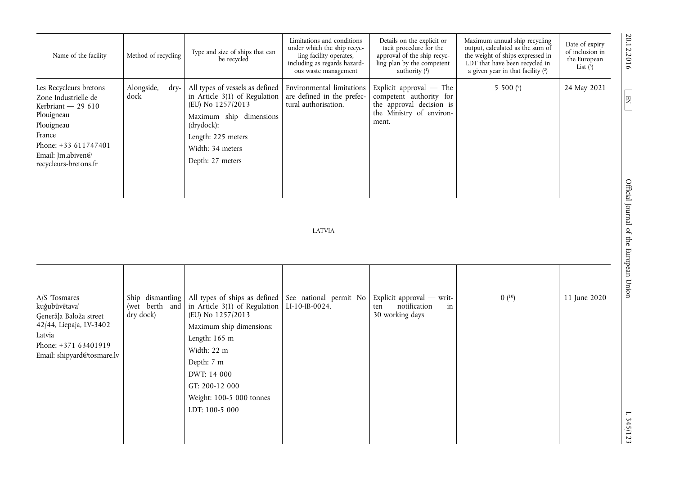| Name of the facility                                                                                                                                                             | Method of recycling        | Type and size of ships that can<br>be recycled                                                                                                                                                 | Limitations and conditions<br>under which the ship recyc-<br>ling facility operates,<br>including as regards hazard-<br>ous waste management | Details on the explicit or<br>tacit procedure for the<br>approval of the ship recyc-<br>ling plan by the competent<br>authority $(1)$ | Maximum annual ship recycling<br>output, calculated as the sum of<br>the weight of ships expressed in<br>LDT that have been recycled in<br>a given year in that facility (2) | Date of expiry<br>of inclusion in<br>the European<br>List $(3)$ | 20.12.2016 |
|----------------------------------------------------------------------------------------------------------------------------------------------------------------------------------|----------------------------|------------------------------------------------------------------------------------------------------------------------------------------------------------------------------------------------|----------------------------------------------------------------------------------------------------------------------------------------------|---------------------------------------------------------------------------------------------------------------------------------------|------------------------------------------------------------------------------------------------------------------------------------------------------------------------------|-----------------------------------------------------------------|------------|
| Les Recycleurs bretons<br>Zone Industrielle de<br>Kerbriant $-29610$<br>Plouigneau<br>Plouigneau<br>France<br>Phone: +33 611747401<br>Email: Jm.abiven@<br>recycleurs-bretons.fr | Alongside,<br>dry-<br>dock | All types of vessels as defined<br>in Article $3(1)$ of Regulation<br>(EU) No 1257/2013<br>Maximum ship dimensions<br>(drydock):<br>Length: 225 meters<br>Width: 34 meters<br>Depth: 27 meters | Environmental limitations<br>are defined in the prefec-<br>tural authorisation.                                                              | Explicit approval $-$ The<br>competent authority for<br>the approval decision is<br>the Ministry of environ-<br>ment.                 | 5 500 $(9)$                                                                                                                                                                  | 24 May 2021                                                     | 厚          |
|                                                                                                                                                                                  |                            |                                                                                                                                                                                                |                                                                                                                                              |                                                                                                                                       |                                                                                                                                                                              |                                                                 | Offici     |

# LATVIA

| $A/S$ Tosmares<br>kuģubūvētava'<br>Generāļa Baloža street | (wet berth and<br>dry dock) | Ship dismantling   All types of ships as defined   See national permit No  <br>in Article $3(1)$ of Regulation<br>(EU) No 1257/2013 | $LI-10-IB-0024.$ | Explicit approval $-$ writ-<br>notification<br>in<br>ten<br>30 working days | 0(10) | 11 June 2020 |
|-----------------------------------------------------------|-----------------------------|-------------------------------------------------------------------------------------------------------------------------------------|------------------|-----------------------------------------------------------------------------|-------|--------------|
| 42/44, Liepaja, LV-3402                                   |                             | Maximum ship dimensions:                                                                                                            |                  |                                                                             |       |              |
| Latvia                                                    |                             | Length: 165 m                                                                                                                       |                  |                                                                             |       |              |
| Phone: +371 63401919<br>Email: shipyard@tosmare.lv        |                             | Width: 22 m                                                                                                                         |                  |                                                                             |       |              |
|                                                           |                             | Depth: 7 m                                                                                                                          |                  |                                                                             |       |              |
|                                                           |                             | DWT: 14 000                                                                                                                         |                  |                                                                             |       |              |
|                                                           |                             | GT: 200-12 000                                                                                                                      |                  |                                                                             |       |              |
|                                                           |                             | Weight: 100-5 000 tonnes                                                                                                            |                  |                                                                             |       |              |
|                                                           |                             | LDT: 100-5 000                                                                                                                      |                  |                                                                             |       |              |
|                                                           |                             |                                                                                                                                     |                  |                                                                             |       |              |
|                                                           |                             |                                                                                                                                     |                  |                                                                             |       |              |

20.12.2016 L 345/123 Official Journal of the European Union EN Official Journal of the European Union

 $1.345/123$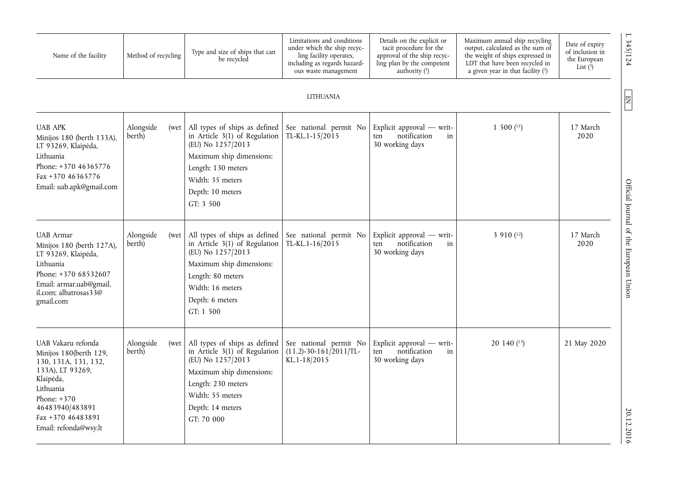| Name of the facility                                                                                                                                                                                 | Method of recycling         | Type and size of ships that can<br>be recycled                                                                                                                                               | Limitations and conditions<br>under which the ship recyc-<br>ling facility operates,<br>including as regards hazard-<br>ous waste management | Details on the explicit or<br>tacit procedure for the<br>approval of the ship recyc-<br>ling plan by the competent<br>authority $(1)$ | Maximum annual ship recycling<br>output, calculated as the sum of<br>the weight of ships expressed in<br>LDT that have been recycled in<br>a given year in that facility (2) | $\overline{\phantom{0}}$<br>345/124<br>Date of expiry<br>of inclusion in<br>the European<br>List $(3)$ |
|------------------------------------------------------------------------------------------------------------------------------------------------------------------------------------------------------|-----------------------------|----------------------------------------------------------------------------------------------------------------------------------------------------------------------------------------------|----------------------------------------------------------------------------------------------------------------------------------------------|---------------------------------------------------------------------------------------------------------------------------------------|------------------------------------------------------------------------------------------------------------------------------------------------------------------------------|--------------------------------------------------------------------------------------------------------|
|                                                                                                                                                                                                      |                             |                                                                                                                                                                                              | <b>LITHUANIA</b>                                                                                                                             |                                                                                                                                       |                                                                                                                                                                              | $\mathbf{EN}^-$                                                                                        |
| <b>UAB APK</b><br>Minijos 180 (berth 133A),<br>LT 93269, Klaipėda,<br>Lithuania<br>Phone: +370 46365776<br>Fax +370 46365776<br>Email: uab.apk@gmail.com                                             | Alongside<br>(wet<br>berth) | All types of ships as defined<br>in Article $3(1)$ of Regulation<br>(EU) No 1257/2013<br>Maximum ship dimensions:<br>Length: 130 meters<br>Width: 35 meters<br>Depth: 10 meters<br>GT: 3 500 | See national permit No<br>TL-KL.1-15/2015                                                                                                    | Explicit approval $-$ writ-<br>notification<br>in<br>ten<br>30 working days                                                           | $1500$ $(11)$                                                                                                                                                                | 17 March<br>2020                                                                                       |
| <b>UAB</b> Armar<br>Minijos 180 (berth 127A),<br>LT 93269, Klaipėda,<br>Lithuania<br>Phone: +370 68532607<br>Email: armar.uab@gmail.<br>il.com: albatrosas33@<br>gmail.com                           | Alongside<br>(wet<br>berth) | All types of ships as defined<br>in Article 3(1) of Regulation<br>(EU) No 1257/2013<br>Maximum ship dimensions:<br>Length: 80 meters<br>Width: 16 meters<br>Depth: 6 meters<br>GT: 1 500     | See national permit No<br>TL-KL.1-16/2015                                                                                                    | Explicit approval $-$ writ-<br>notification<br>ten<br>in<br>30 working days                                                           | 3 910 (12)                                                                                                                                                                   | Official Journal of the European Union<br>17 March<br>2020                                             |
| UAB Vakaru refonda<br>Minijos 180(berth 129,<br>130, 131A, 131, 132,<br>133A), LT 93269,<br>Klaipėda,<br>Lithuania<br>Phone: $+370$<br>46483940/483891<br>Fax +370 46483891<br>Email: refonda@wsy.lt | Alongside<br>(wet<br>berth) | All types of ships as defined<br>in Article 3(1) of Regulation<br>(EU) No 1257/2013<br>Maximum ship dimensions:<br>Length: 230 meters<br>Width: 55 meters<br>Depth: 14 meters<br>GT: 70 000  | See national permit No<br>$(11.2) - 30 - 161/2011$ /TL-<br>KL.1-18/2015                                                                      | Explicit approval - writ-<br>notification<br>in<br>ten<br>30 working days                                                             | 20 140 (13)                                                                                                                                                                  | 21 May 2020<br>20.12.2016                                                                              |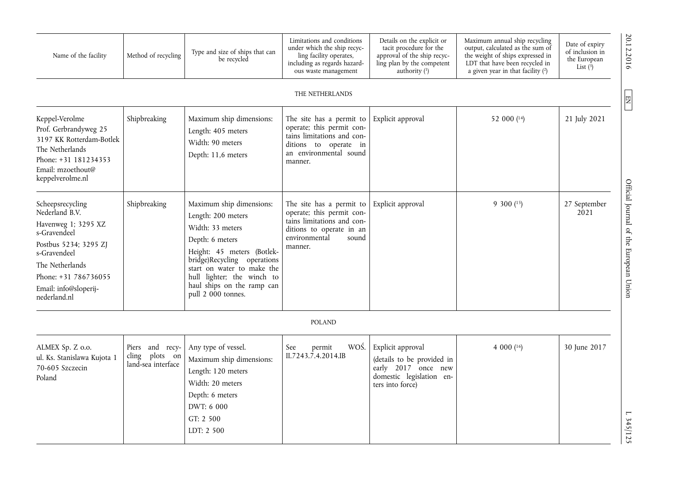| Name of the facility                                                                                                                                                                                   | Method of recycling                                     | Type and size of ships that can<br>be recycled                                                                                                                                                                                                                     | Limitations and conditions<br>under which the ship recyc-<br>ling facility operates,<br>including as regards hazard-<br>ous waste management         | Details on the explicit or<br>tacit procedure for the<br>approval of the ship recyc-<br>ling plan by the competent<br>authority $(1)$ | Maximum annual ship recycling<br>output, calculated as the sum of<br>the weight of ships expressed in<br>LDT that have been recycled in<br>a given year in that facility $(2)$ | Date of expiry<br>of inclusion in<br>the European<br>List $(3)$ | 20.12.2016                             |
|--------------------------------------------------------------------------------------------------------------------------------------------------------------------------------------------------------|---------------------------------------------------------|--------------------------------------------------------------------------------------------------------------------------------------------------------------------------------------------------------------------------------------------------------------------|------------------------------------------------------------------------------------------------------------------------------------------------------|---------------------------------------------------------------------------------------------------------------------------------------|--------------------------------------------------------------------------------------------------------------------------------------------------------------------------------|-----------------------------------------------------------------|----------------------------------------|
|                                                                                                                                                                                                        |                                                         |                                                                                                                                                                                                                                                                    | THE NETHERLANDS                                                                                                                                      |                                                                                                                                       |                                                                                                                                                                                |                                                                 | $\boxed{2}$                            |
| Keppel-Verolme<br>Prof. Gerbrandyweg 25<br>3197 KK Rotterdam-Botlek<br>The Netherlands<br>Phone: +31 181234353<br>Email: mzoethout@<br>keppelverolme.nl                                                | Shipbreaking                                            | Maximum ship dimensions:<br>Length: 405 meters<br>Width: 90 meters<br>Depth: 11,6 meters                                                                                                                                                                           | The site has a permit to<br>operate; this permit con-<br>tains limitations and con-<br>ditions to operate in<br>an environmental sound<br>manner.    | Explicit approval                                                                                                                     | 52 000 (14)                                                                                                                                                                    | 21 July 2021                                                    |                                        |
| Scheepsrecycling<br>Nederland B.V.<br>Havenweg 1; 3295 XZ<br>s-Gravendeel<br>Postbus 5234; 3295 ZJ<br>s-Gravendeel<br>The Netherlands<br>Phone: +31 786736055<br>Email: info@sloperij-<br>nederland.nl | Shipbreaking                                            | Maximum ship dimensions:<br>Length: 200 meters<br>Width: 33 meters<br>Depth: 6 meters<br>Height: 45 meters (Botlek-<br>bridge)Recycling operations<br>start on water to make the<br>hull lighter; the winch to<br>haul ships on the ramp can<br>pull 2 000 tonnes. | The site has a permit to<br>operate; this permit con-<br>tains limitations and con-<br>ditions to operate in an<br>environmental<br>sound<br>manner. | Explicit approval                                                                                                                     | $9300(^{15})$                                                                                                                                                                  | 27 September<br>2021                                            | Official Journal of the European Union |
|                                                                                                                                                                                                        |                                                         |                                                                                                                                                                                                                                                                    | <b>POLAND</b>                                                                                                                                        |                                                                                                                                       |                                                                                                                                                                                |                                                                 |                                        |
| ALMEX Sp. Z o.o.<br>ul. Ks. Stanislawa Kujota 1<br>70-605 Szczecin<br>Poland                                                                                                                           | Piers and recy-<br>cling plots on<br>land-sea interface | Any type of vessel.<br>Maximum ship dimensions:<br>Length: 120 meters<br>Width: 20 meters<br>Depth: 6 meters<br>DWT: 6 000<br>GT: 2 500<br>LDT: 2 500                                                                                                              | WOŚ.<br>See<br>permit<br>II.7243.7.4.2014.IB                                                                                                         | Explicit approval<br>(details to be provided in<br>early 2017 once new<br>domestic legislation en-<br>ters into force)                | 4 000 $(16)$                                                                                                                                                                   | 30 June 2017                                                    | $L$ 345/125                            |

 $L \frac{345}{125}$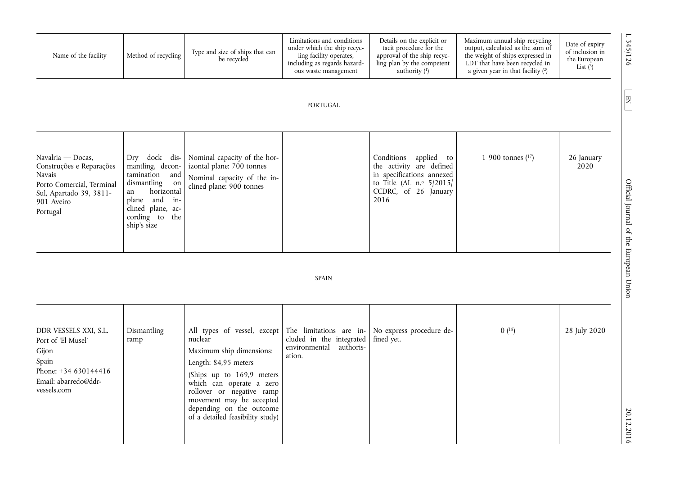| Name of the facility                                                                                                                             | Method of recycling                                                                                                                                                       | Type and size of ships that can<br>be recycled                                                                                                                                                                                                                               | Limitations and conditions<br>under which the ship recyc-<br>ling facility operates,<br>including as regards hazard-<br>ous waste management | Details on the explicit or<br>tacit procedure for the<br>approval of the ship recyc-<br>ling plan by the competent<br>authority $(1)$        | Maximum annual ship recycling<br>output, calculated as the sum of<br>the weight of ships expressed in<br>LDT that have been recycled in<br>a given year in that facility $(2)$ | 345/126<br>Date of expiry<br>of inclusion in<br>the European<br>List $(\overline{3})$ |
|--------------------------------------------------------------------------------------------------------------------------------------------------|---------------------------------------------------------------------------------------------------------------------------------------------------------------------------|------------------------------------------------------------------------------------------------------------------------------------------------------------------------------------------------------------------------------------------------------------------------------|----------------------------------------------------------------------------------------------------------------------------------------------|----------------------------------------------------------------------------------------------------------------------------------------------|--------------------------------------------------------------------------------------------------------------------------------------------------------------------------------|---------------------------------------------------------------------------------------|
|                                                                                                                                                  |                                                                                                                                                                           |                                                                                                                                                                                                                                                                              | <b>PORTUGAL</b>                                                                                                                              |                                                                                                                                              |                                                                                                                                                                                | $\Xi$                                                                                 |
| Navalria — Docas,<br>Construções e Reparações<br><b>Navais</b><br>Porto Comercial, Terminal<br>Sul, Apartado 39, 3811-<br>901 Aveiro<br>Portugal | Dry dock dis-<br>mantling, decon-<br>tamination<br>and<br>dismantling<br>on<br>horizontal<br>an<br>plane and<br>in-<br>clined plane, ac-<br>cording to the<br>ship's size | Nominal capacity of the hor-<br>izontal plane: 700 tonnes<br>Nominal capacity of the in-<br>clined plane: 900 tonnes                                                                                                                                                         | <b>SPAIN</b>                                                                                                                                 | Conditions applied to<br>the activity are defined<br>in specifications annexed<br>to Title (AL $n.°$ 5/2015/<br>CCDRC, of 26 January<br>2016 | 1 900 tonnes $(17)$                                                                                                                                                            | 26 January<br>2020<br>Official Journal of the European Union                          |
|                                                                                                                                                  |                                                                                                                                                                           |                                                                                                                                                                                                                                                                              |                                                                                                                                              |                                                                                                                                              |                                                                                                                                                                                |                                                                                       |
| DDR VESSELS XXI, S.L.<br>Port of 'El Musel'<br>Gijon<br>Spain<br>Phone: +34 630144416<br>Email: abarredo@ddr-<br>vessels.com                     | Dismantling<br>ramp                                                                                                                                                       | All types of vessel, except<br>nuclear<br>Maximum ship dimensions:<br>Length: 84,95 meters<br>(Ships up to 169,9 meters<br>which can operate a zero<br>rollover or negative ramp<br>movement may be accepted<br>depending on the outcome<br>of a detailed feasibility study) | The limitations are in-<br>cluded in the integrated<br>environmental<br>authoris-<br>ation.                                                  | No express procedure de-<br>fined yet.                                                                                                       | 0(18)                                                                                                                                                                          | 28 July 2020<br>20.12.2016                                                            |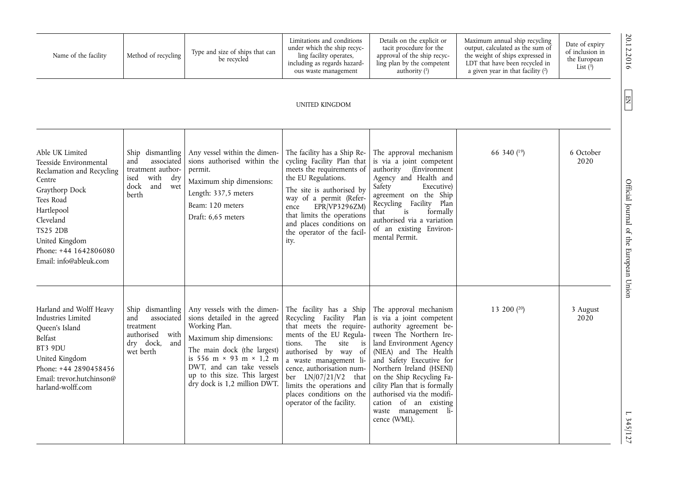| Name of the facility                                                                                                                                                                                                               | Method of recycling                                                                                              | Type and size of ships that can<br>be recycled                                                                                                                                                                                                                                 | Limitations and conditions<br>under which the ship recyc-<br>ling facility operates,<br>including as regards hazard-<br>ous waste management                                                                                                                                                                                           | Details on the explicit or<br>tacit procedure for the<br>approval of the ship recyc-<br>ling plan by the competent<br>authority $(1)$                                                                                                                                                                                                                                            | Maximum annual ship recycling<br>output, calculated as the sum of<br>the weight of ships expressed in<br>LDT that have been recycled in<br>a given year in that facility $(2)$ | Date of expiry<br>of inclusion in<br>the European<br>List $(3)$ |
|------------------------------------------------------------------------------------------------------------------------------------------------------------------------------------------------------------------------------------|------------------------------------------------------------------------------------------------------------------|--------------------------------------------------------------------------------------------------------------------------------------------------------------------------------------------------------------------------------------------------------------------------------|----------------------------------------------------------------------------------------------------------------------------------------------------------------------------------------------------------------------------------------------------------------------------------------------------------------------------------------|----------------------------------------------------------------------------------------------------------------------------------------------------------------------------------------------------------------------------------------------------------------------------------------------------------------------------------------------------------------------------------|--------------------------------------------------------------------------------------------------------------------------------------------------------------------------------|-----------------------------------------------------------------|
|                                                                                                                                                                                                                                    |                                                                                                                  |                                                                                                                                                                                                                                                                                | UNITED KINGDOM                                                                                                                                                                                                                                                                                                                         |                                                                                                                                                                                                                                                                                                                                                                                  |                                                                                                                                                                                |                                                                 |
| Able UK Limited<br>Teesside Environmental<br>Reclamation and Recycling<br>Centre<br>Graythorp Dock<br>Tees Road<br>Hartlepool<br>Cleveland<br><b>TS25 2DB</b><br>United Kingdom<br>Phone: +44 1642806080<br>Email: info@ableuk.com | Ship dismantling<br>and<br>associated<br>treatment author-<br>with<br>dry<br>ised<br>dock<br>and<br>wet<br>berth | Any vessel within the dimen-<br>sions authorised within the<br>permit.<br>Maximum ship dimensions:<br>Length: 337,5 meters<br>Beam: 120 meters<br>Draft: 6,65 meters                                                                                                           | The facility has a Ship Re-<br>cycling Facility Plan that<br>meets the requirements of<br>the EU Regulations.<br>The site is authorised by<br>way of a permit (Refer-<br>EPR/VP3296ZM<br>ence<br>that limits the operations<br>and places conditions on<br>the operator of the facil-<br>ity.                                          | The approval mechanism<br>is via a joint competent<br>authority (Environment<br>Agency and Health and<br>Safety<br>Executive)<br>agreement on the Ship<br>Recycling Facility Plan<br>that<br>formally<br>is<br>authorised via a variation<br>of an existing Environ-<br>mental Permit.                                                                                           | 66 340 (19)                                                                                                                                                                    | 6 October<br>2020                                               |
| Harland and Wolff Heavy<br>Industries Limited<br>Queen's Island<br>Belfast<br>BT3 9DU<br>United Kingdom<br>Phone: +44 2890458456<br>Email: trevor.hutchinson@<br>harland-wolff.com                                                 | Ship dismantling<br>and<br>associated<br>treatment<br>authorised<br>with<br>dry dock,<br>and<br>wet berth        | Any vessels with the dimen-<br>sions detailed in the agreed<br>Working Plan.<br>Maximum ship dimensions:<br>The main dock (the largest)<br>is 556 m $\times$ 93 m $\times$ 1.2 m<br>DWT, and can take vessels<br>up to this size. This largest<br>dry dock is 1,2 million DWT. | The facility has a Ship<br>Recycling Facility Plan<br>that meets the require-<br>ments of the EU Regula-<br>The<br>tions.<br>site<br>is<br>authorised by way of<br>a waste management li-<br>cence, authorisation num-<br>ber $LN/07/21/V2$ that<br>limits the operations and<br>places conditions on the<br>operator of the facility. | The approval mechanism<br>is via a joint competent<br>authority agreement be-<br>tween The Northern Ire-<br>land Environment Agency<br>(NIEA) and The Health<br>and Safety Executive for<br>Northern Ireland (HSENI)<br>on the Ship Recycling Fa-<br>cility Plan that is formally<br>authorised via the modifi-<br>cation of an existing<br>waste management li-<br>cence (WML). | 13 200 $(20)$                                                                                                                                                                  | 3 August<br>2020                                                |